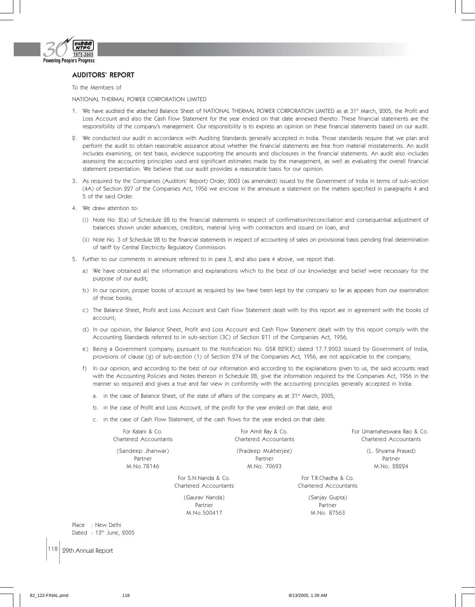

## AUDITORS' REPORT

To the Members of

NATIONAL THERMAL POWER CORPORATION LIMITED

- 1. We have audited the attached Balance Sheet of NATIONAL THERMAL POWER CORPORATION LIMITED as at 31st March, 2005, the Profit and Loss Account and also the Cash Flow Statement for the year ended on that date annexed thereto. These financial statements are the responsibility of the company's management. Our responsibility is to express an opinion on these financial statements based on our audit.
- 2. We conducted our audit in accordance with Auditing Standards generally accepted in India. Those standards require that we plan and perform the audit to obtain reasonable assurance about whether the financial statements are free from material misstatements. An audit includes examining, on test basis, evidence supporting the amounts and disclosures in the financial statements. An audit also includes assessing the accounting principles used and significant estimates made by the management, as well as evaluating the overall financial statement presentation. We believe that our audit provides a reasonable basis for our opinion.
- 3. As required by the Companies (Auditors' Report) Order, 2003 (as amended) issued by the Government of India in terms of sub-section (4A) of Section 227 of the Companies Act, 1956 we enclose in the annexure a statement on the matters specified in paragraphs 4 and 5 of the said Order.
- 4. We draw attention to:
	- (i) Note No. 2(a) of Schedule 28 to the financial statements in respect of confirmation/reconciliation and consequential adjustment of balances shown under advances, creditors, material lying with contractors and issued on loan, and
	- (ii) Note No. 3 of Schedule 28 to the financial statements in respect of accounting of sales on provisional basis pending final determination of tariff by Central Electricity Regulatory Commission.
- 5. Further to our comments in annexure referred to in para 3, and also para 4 above, we report that:
	- a) We have obtained all the information and explanations which to the best of our knowledge and belief were necessary for the purpose of our audit;
	- b) In our opinion, proper books of account as required by law have been kept by the company so far as appears from our examination of those books;
	- c) The Balance Sheet, Profit and Loss Account and Cash Flow Statement dealt with by this report are in agreement with the books of account;
	- d) In our opinion, the Balance Sheet, Profit and Loss Account and Cash Flow Statement dealt with by this report comply with the Accounting Standards referred to in sub-section (3C) of Section 211 of the Companies Act, 1956;
	- e) Being a Government company, pursuant to the Notification No. GSR 829(E) dated 17.7.2003 issued by Government of India, provisions of clause (g) of sub-section (1) of Section 274 of the Companies Act, 1956, are not applicable to the company;
	- f) In our opinion, and according to the best of our information and according to the explanations given to us, the said accounts read with the Accounting Policies and Notes thereon in Schedule 28, give the information required by the Companies Act, 1956 in the manner so required and gives a true and fair view in conformity with the accounting principles generally accepted in India:
		- a. in the case of Balance Sheet, of the state of affairs of the company as at  $31<sup>st</sup>$  March, 2005,
		- b. in the case of Profit and Loss Account, of the profit for the year ended on that date, and
		- c. in the case of Cash Flow Statement, of the cash flows for the year ended on that date.

| For Kalani & Co.<br>Chartered Accountants |                     | For Amit Ray & Co.<br>Chartered Accountants | For Umamaheswara Rao & Co.<br>Chartered Accountants |
|-------------------------------------------|---------------------|---------------------------------------------|-----------------------------------------------------|
| (Sandeep Jhanwar)                         |                     | (Pradeep Mukherjee)                         | (L. Shyama Prasad)                                  |
| Partner                                   |                     | Partner                                     | Partner                                             |
| M.No.78146                                |                     | M.No. 70693                                 | M.No. 28224                                         |
|                                           | For S.N.Nanda & Co. |                                             | For T.R.Chadha & Co.                                |

(Gaurav Nanda) (Sanjay Gupta)

Partner Partner Partner M.No.500417 M.No. 87563

Chartered Accountants Chartered Accountants

Place : New Delhi Dated : 13th June, 2005

118 29th Annual Report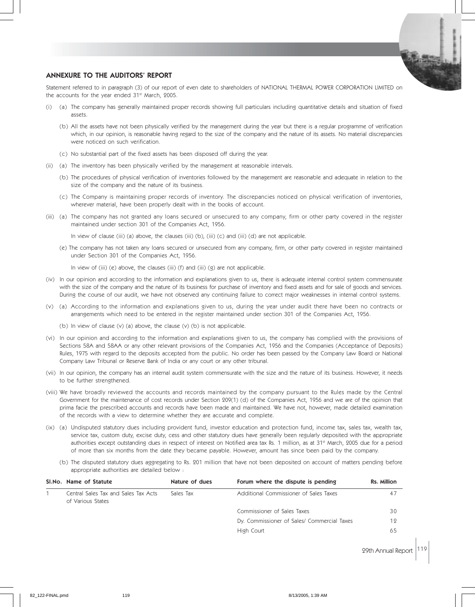

## ANNEXURE TO THE AUDITORS' REPORT

Statement referred to in paragraph (3) of our report of even date to shareholders of NATIONAL THERMAL POWER CORPORATION LIMITED on the accounts for the year ended 31<sup>st</sup> March, 2005.

- (i) (a) The company has generally maintained proper records showing full particulars including quantitative details and situation of fixed assets.
	- (b) All the assets have not been physically verified by the management during the year but there is a regular programme of verification which, in our opinion, is reasonable having regard to the size of the company and the nature of its assets. No material discrepancies were noticed on such verification.
	- (c) No substantial part of the fixed assets has been disposed off during the year.
- (ii) (a) The inventory has been physically verified by the management at reasonable intervals.
	- (b) The procedures of physical verification of inventories followed by the management are reasonable and adequate in relation to the size of the company and the nature of its business.
	- (c) The Company is maintaining proper records of inventory. The discrepancies noticed on physical verification of inventories, wherever material, have been properly dealt with in the books of account.
- (iii) (a) The company has not granted any loans secured or unsecured to any company, firm or other party covered in the register maintained under section 301 of the Companies Act, 1956.

In view of clause (iii) (a) above, the clauses (iii) (b), (iii) (c) and (iii) (d) are not applicable.

(e) The company has not taken any loans secured or unsecured from any company, firm, or other party covered in register maintained under Section 301 of the Companies Act, 1956.

In view of (iii) (e) above, the clauses (iii) (f) and (iii) (g) are not applicable.

- (iv) In our opinion and according to the information and explanations given to us, there is adequate internal control system commensurate with the size of the company and the nature of its business for purchase of inventory and fixed assets and for sale of goods and services. During the course of our audit, we have not observed any continuing failure to correct major weaknesses in internal control systems.
- (v) (a) According to the information and explanations given to us, during the year under audit there have been no contracts or arrangements which need to be entered in the register maintained under section 301 of the Companies Act, 1956.
	- (b) In view of clause (v) (a) above, the clause (v) (b) is not applicable.
- (vi) In our opinion and according to the information and explanations given to us, the company has complied with the provisions of Sections 58A and 58AA or any other relevant provisions of the Companies Act, 1956 and the Companies (Acceptance of Deposits) Rules, 1975 with regard to the deposits accepted from the public. No order has been passed by the Company Law Board or National Company Law Tribunal or Reserve Bank of India or any court or any other tribunal.
- (vii) In our opinion, the company has an internal audit system commensurate with the size and the nature of its business. However, it needs to be further strengthened.
- (viii) We have broadly reviewed the accounts and records maintained by the company pursuant to the Rules made by the Central Government for the maintenance of cost records under Section 209(1) (d) of the Companies Act, 1956 and we are of the opinion that prima facie the prescribed accounts and records have been made and maintained. We have not, however, made detailed examination of the records with a view to determine whether they are accurate and complete.
- (ix) (a) Undisputed statutory dues including provident fund, investor education and protection fund, income tax, sales tax, wealth tax, service tax, custom duty, excise duty, cess and other statutory dues have generally been regularly deposited with the appropriate authorities except outstanding dues in respect of interest on Notified area tax Rs. 1 million, as at 31<sup>st</sup> March, 2005 due for a period of more than six months from the date they became payable. However, amount has since been paid by the company.
	- (b) The disputed statutory dues aggregating to Rs. 201 million that have not been deposited on account of matters pending before appropriate authorities are detailed below :

| SI.No. Name of Statute                                    | Nature of dues | Forum where the dispute is pending          | Rs. Million |
|-----------------------------------------------------------|----------------|---------------------------------------------|-------------|
| Central Sales Tax and Sales Tax Acts<br>of Various States | Sales Tax      | Additional Commissioner of Sales Taxes      | 47          |
|                                                           |                | Commissioner of Sales Taxes                 | 30          |
|                                                           |                | Dy. Commissioner of Sales/ Commercial Taxes | 12          |
|                                                           |                | High Court                                  | 65          |